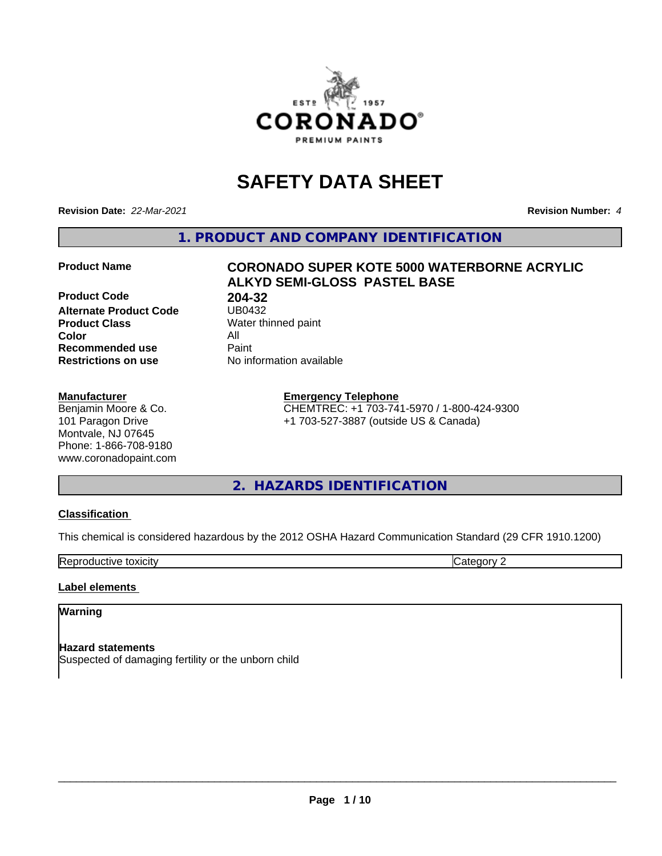

# **SAFETY DATA SHEET**

**Revision Date:** *22-Mar-2021* **Revision Number:** *4*

**1. PRODUCT AND COMPANY IDENTIFICATION**

**Product Code 68 204-32<br>Alternate Product Code 68 2080432 Alternate Product Code**<br>Product Class **Product Class** Water thinned paint<br> **Color** All **Color** All **Recommended use Caint Restrictions on use** No information available

# **Manufacturer**

Benjamin Moore & Co. 101 Paragon Drive Montvale, NJ 07645 Phone: 1-866-708-9180 www.coronadopaint.com

# **Product Name CORONADO SUPER KOTE 5000 WATERBORNE ACRYLIC ALKYD SEMI-GLOSS PASTEL BASE**

**Emergency Telephone** CHEMTREC: +1 703-741-5970 / 1-800-424-9300 +1 703-527-3887 (outside US & Canada)

# **2. HAZARDS IDENTIFICATION**

# **Classification**

This chemical is considered hazardous by the 2012 OSHA Hazard Communication Standard (29 CFR 1910.1200)

**Reproductive toxicity** Category 2

# **Label elements**

# **Warning**

**Hazard statements** Suspected of damaging fertility or the unborn child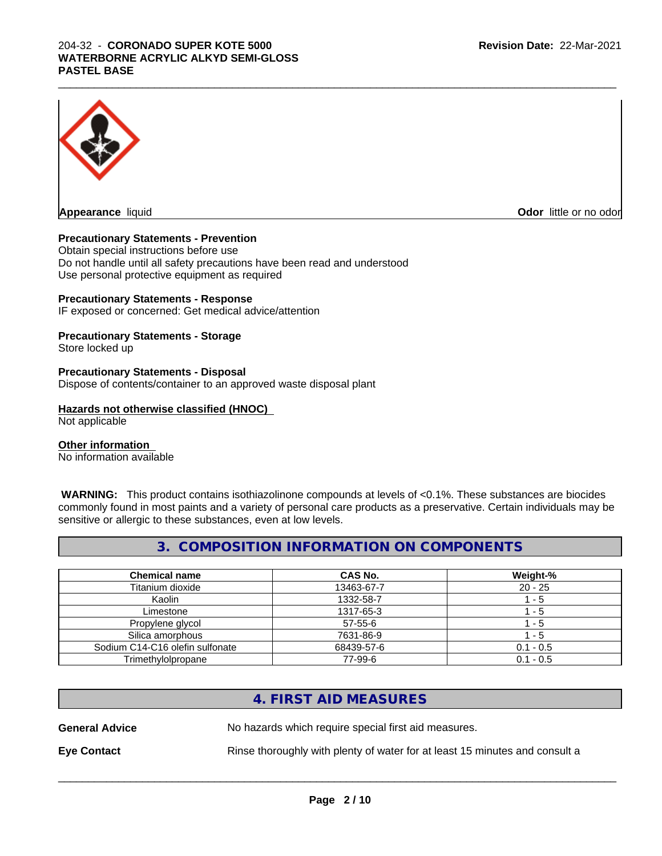# 204-32 - **CORONADO SUPER KOTE 5000 WATERBORNE ACRYLIC ALKYD SEMI-GLOSS PASTEL BASE**



**Odor** little or no odor

# **Precautionary Statements - Prevention**

Obtain special instructions before use Do not handle until all safety precautions have been read and understood Use personal protective equipment as required

#### **Precautionary Statements - Response**

IF exposed or concerned: Get medical advice/attention

# **Precautionary Statements - Storage**

Store locked up

#### **Precautionary Statements - Disposal**

Dispose of contents/container to an approved waste disposal plant

# **Hazards not otherwise classified (HNOC)**

Not applicable

# **Other information**

No information available

 **WARNING:** This product contains isothiazolinone compounds at levels of <0.1%. These substances are biocides commonly found in most paints and a variety of personal care products as a preservative. Certain individuals may be sensitive or allergic to these substances, even at low levels.

 $\_$  ,  $\_$  ,  $\_$  ,  $\_$  ,  $\_$  ,  $\_$  ,  $\_$  ,  $\_$  ,  $\_$  ,  $\_$  ,  $\_$  ,  $\_$  ,  $\_$  ,  $\_$  ,  $\_$  ,  $\_$  ,  $\_$  ,  $\_$  ,  $\_$  ,  $\_$  ,  $\_$  ,  $\_$  ,  $\_$  ,  $\_$  ,  $\_$  ,  $\_$  ,  $\_$  ,  $\_$  ,  $\_$  ,  $\_$  ,  $\_$  ,  $\_$  ,  $\_$  ,  $\_$  ,  $\_$  ,  $\_$  ,  $\_$  ,

# **3. COMPOSITION INFORMATION ON COMPONENTS**

| <b>Chemical name</b>            | <b>CAS No.</b> | Weight-%    |
|---------------------------------|----------------|-------------|
| Titanium dioxide                | 13463-67-7     | $20 - 25$   |
| Kaolin                          | 1332-58-7      | - 5         |
| Limestone                       | 1317-65-3      | - 5         |
| Propylene glycol                | $57 - 55 - 6$  | - 5         |
| Silica amorphous                | 7631-86-9      | - 5         |
| Sodium C14-C16 olefin sulfonate | 68439-57-6     | $0.1 - 0.5$ |
| Trimethylolpropane              | 77-99-6        | $0.1 - 0.5$ |

# **4. FIRST AID MEASURES**

**General Advice** No hazards which require special first aid measures.

**Eye Contact Rinse thoroughly with plenty of water for at least 15 minutes and consult a**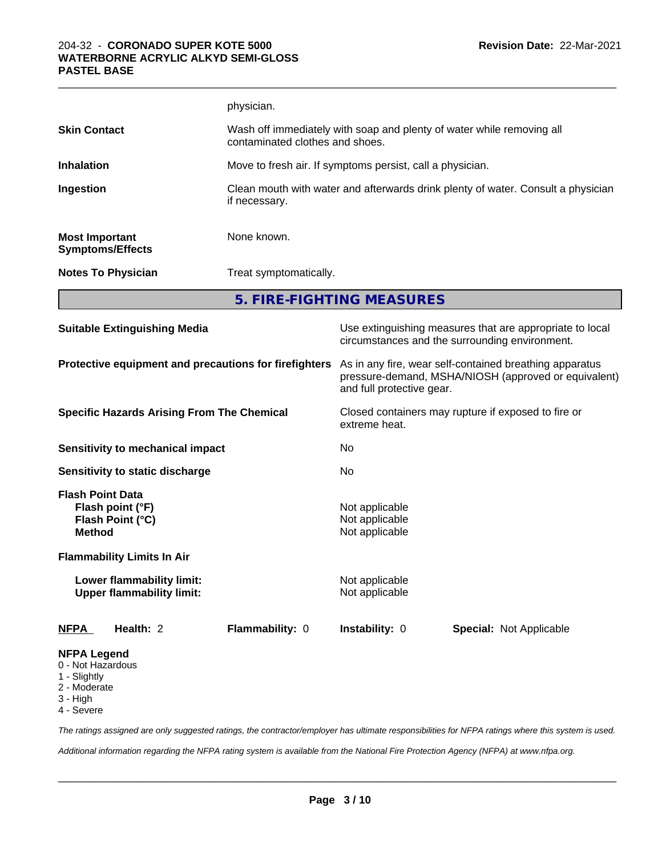|                                                  | physician.                                                                                               |  |
|--------------------------------------------------|----------------------------------------------------------------------------------------------------------|--|
| <b>Skin Contact</b>                              | Wash off immediately with soap and plenty of water while removing all<br>contaminated clothes and shoes. |  |
| <b>Inhalation</b>                                | Move to fresh air. If symptoms persist, call a physician.                                                |  |
| Ingestion                                        | Clean mouth with water and afterwards drink plenty of water. Consult a physician<br>if necessary.        |  |
| <b>Most Important</b><br><b>Symptoms/Effects</b> | None known.                                                                                              |  |
| <b>Notes To Physician</b>                        | Treat symptomatically.                                                                                   |  |

 $\_$  ,  $\_$  ,  $\_$  ,  $\_$  ,  $\_$  ,  $\_$  ,  $\_$  ,  $\_$  ,  $\_$  ,  $\_$  ,  $\_$  ,  $\_$  ,  $\_$  ,  $\_$  ,  $\_$  ,  $\_$  ,  $\_$  ,  $\_$  ,  $\_$  ,  $\_$  ,  $\_$  ,  $\_$  ,  $\_$  ,  $\_$  ,  $\_$  ,  $\_$  ,  $\_$  ,  $\_$  ,  $\_$  ,  $\_$  ,  $\_$  ,  $\_$  ,  $\_$  ,  $\_$  ,  $\_$  ,  $\_$  ,  $\_$  ,

**5. FIRE-FIGHTING MEASURES**

| <b>Suitable Extinguishing Media</b>                                              | Use extinguishing measures that are appropriate to local<br>circumstances and the surrounding environment.                                   |
|----------------------------------------------------------------------------------|----------------------------------------------------------------------------------------------------------------------------------------------|
| Protective equipment and precautions for firefighters                            | As in any fire, wear self-contained breathing apparatus<br>pressure-demand, MSHA/NIOSH (approved or equivalent)<br>and full protective gear. |
| <b>Specific Hazards Arising From The Chemical</b>                                | Closed containers may rupture if exposed to fire or<br>extreme heat.                                                                         |
| <b>Sensitivity to mechanical impact</b>                                          | No                                                                                                                                           |
| Sensitivity to static discharge                                                  | No                                                                                                                                           |
| <b>Flash Point Data</b><br>Flash point (°F)<br>Flash Point (°C)<br><b>Method</b> | Not applicable<br>Not applicable<br>Not applicable                                                                                           |
| <b>Flammability Limits In Air</b>                                                |                                                                                                                                              |
| Lower flammability limit:<br><b>Upper flammability limit:</b>                    | Not applicable<br>Not applicable                                                                                                             |
| Health: 2<br><b>Flammability: 0</b><br><b>NFPA</b>                               | <b>Instability: 0</b><br><b>Special: Not Applicable</b>                                                                                      |
| <b>NFPA Legend</b><br>0 - Not Hazardous<br>1 - Slightly                          |                                                                                                                                              |

- 1 Slightly
- 2 Moderate
- 3 High
- 4 Severe

*The ratings assigned are only suggested ratings, the contractor/employer has ultimate responsibilities for NFPA ratings where this system is used.*

*Additional information regarding the NFPA rating system is available from the National Fire Protection Agency (NFPA) at www.nfpa.org.*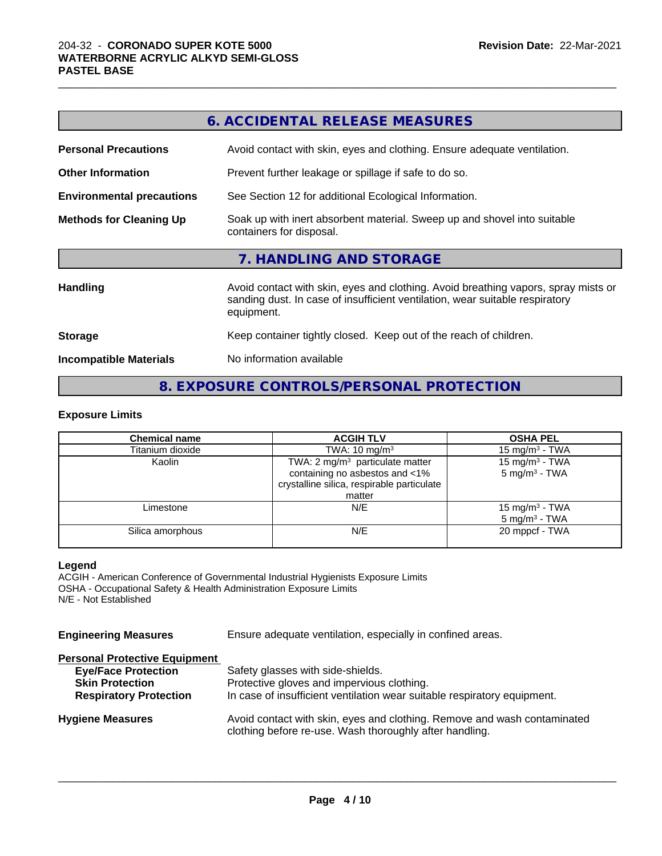|                                                                                                                                                                                                     | <b>6. ACCIDENTAL RELEASE MEASURES</b>                                                                |  |  |
|-----------------------------------------------------------------------------------------------------------------------------------------------------------------------------------------------------|------------------------------------------------------------------------------------------------------|--|--|
| <b>Personal Precautions</b>                                                                                                                                                                         | Avoid contact with skin, eyes and clothing. Ensure adequate ventilation.                             |  |  |
| <b>Other Information</b>                                                                                                                                                                            | Prevent further leakage or spillage if safe to do so.                                                |  |  |
| <b>Environmental precautions</b>                                                                                                                                                                    | See Section 12 for additional Ecological Information.                                                |  |  |
| <b>Methods for Cleaning Up</b>                                                                                                                                                                      | Soak up with inert absorbent material. Sweep up and shovel into suitable<br>containers for disposal. |  |  |
|                                                                                                                                                                                                     | 7. HANDLING AND STORAGE                                                                              |  |  |
| Avoid contact with skin, eyes and clothing. Avoid breathing vapors, spray mists or<br><b>Handling</b><br>sanding dust. In case of insufficient ventilation, wear suitable respiratory<br>equipment. |                                                                                                      |  |  |
| <b>Storage</b>                                                                                                                                                                                      | Keep container tightly closed. Keep out of the reach of children.                                    |  |  |
| <b>Incompatible Materials</b>                                                                                                                                                                       | No information available                                                                             |  |  |
|                                                                                                                                                                                                     |                                                                                                      |  |  |

 $\_$  ,  $\_$  ,  $\_$  ,  $\_$  ,  $\_$  ,  $\_$  ,  $\_$  ,  $\_$  ,  $\_$  ,  $\_$  ,  $\_$  ,  $\_$  ,  $\_$  ,  $\_$  ,  $\_$  ,  $\_$  ,  $\_$  ,  $\_$  ,  $\_$  ,  $\_$  ,  $\_$  ,  $\_$  ,  $\_$  ,  $\_$  ,  $\_$  ,  $\_$  ,  $\_$  ,  $\_$  ,  $\_$  ,  $\_$  ,  $\_$  ,  $\_$  ,  $\_$  ,  $\_$  ,  $\_$  ,  $\_$  ,  $\_$  ,

# **8. EXPOSURE CONTROLS/PERSONAL PROTECTION**

# **Exposure Limits**

| <b>Chemical name</b> | <b>ACGIH TLV</b>                                                 | <b>OSHA PEL</b>            |  |
|----------------------|------------------------------------------------------------------|----------------------------|--|
| Titanium dioxide     | TWA: $10 \text{ mg/m}^3$                                         | 15 mg/m $3$ - TWA          |  |
| Kaolin               | TWA: 2 mg/m <sup>3</sup> particulate matter<br>15 mg/m $3$ - TWA |                            |  |
|                      | containing no asbestos and <1%                                   | $5 \text{ mg/m}^3$ - TWA   |  |
|                      | crystalline silica, respirable particulate                       |                            |  |
|                      | matter                                                           |                            |  |
| Limestone            | N/E                                                              | 15 mg/m <sup>3</sup> - TWA |  |
|                      |                                                                  | $5 \text{ mg/m}^3$ - TWA   |  |
| Silica amorphous     | N/E                                                              | 20 mppcf - TWA             |  |
|                      |                                                                  |                            |  |

#### **Legend**

ACGIH - American Conference of Governmental Industrial Hygienists Exposure Limits OSHA - Occupational Safety & Health Administration Exposure Limits N/E - Not Established

| <b>Engineering Measures</b> | Ensure adequate ventilation, especially in confined areas. |  |
|-----------------------------|------------------------------------------------------------|--|
|-----------------------------|------------------------------------------------------------|--|

# **Personal Protective Equipment**

| <b>Eye/Face Protection</b>    | Safety glasses with side-shields.                                                                                                   |
|-------------------------------|-------------------------------------------------------------------------------------------------------------------------------------|
| <b>Skin Protection</b>        | Protective gloves and impervious clothing.                                                                                          |
| <b>Respiratory Protection</b> | In case of insufficient ventilation wear suitable respiratory equipment.                                                            |
| <b>Hygiene Measures</b>       | Avoid contact with skin, eyes and clothing. Remove and wash contaminated<br>clothing before re-use. Wash thoroughly after handling. |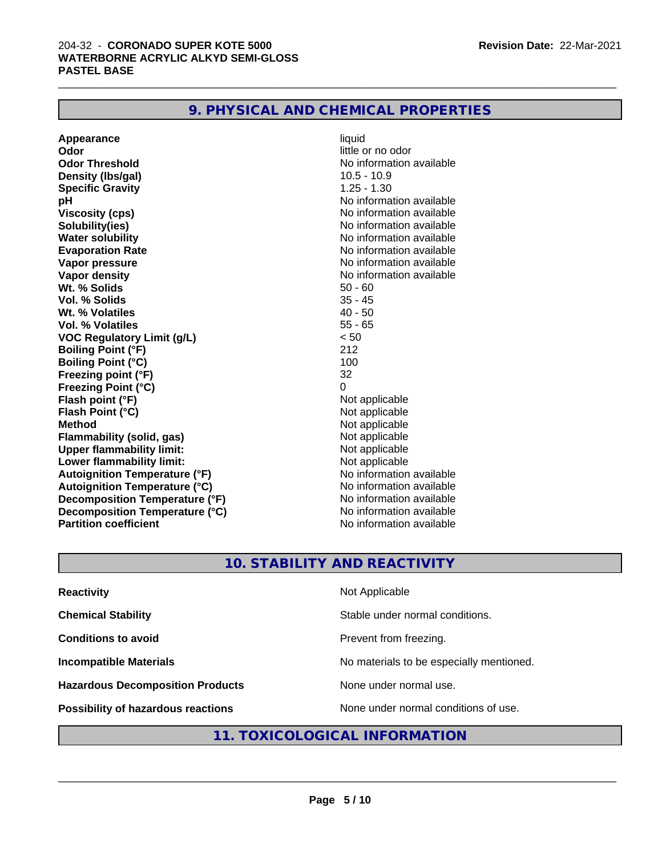| 9. PHYSICAL AND CHEMICAL PROPERTIES |  |
|-------------------------------------|--|
|-------------------------------------|--|

**Appearance** liquid **Odor** little or no odor **Odor Threshold No information available Density (lbs/gal)** 10.5 - 10.9 **Specific Gravity** 1.25 - 1.30 **pH** No information available **Viscosity (cps)** No information available **Solubility(ies)** No information available **Water solubility Water solubility Water solubility Water Solubility Water Solubility Water Solution Evaporation Rate Evaporation Rate No information available Vapor pressure** No information available **No information available Vapor density No information available No information available Wt.** % Solids 50 - 60 **Vol. % Solids** 35 - 45 **Wt. % Volatiles Vol. % Volatiles** 55 - 65 **VOC Regulatory Limit (g/L)** < 50 **Boiling Point (°F)** 212 **Boiling Point (°C)** 100<br> **Preezing point (°F)** 22 **Freezing point (°F) Freezing Point (°C)** 0 **Flash point (°F)**<br> **Flash Point (°C)**<br> **Flash Point (°C)**<br> **Not** applicable **Flash Point (°C) Method** Not applicable **Flammability (solid, gas)** Not applicable **Upper flammability limit:**<br> **Lower flammability limit:** Not applicable Not applicable **Lower flammability limit: Autoignition Temperature (°F)**<br> **Autoignition Temperature (°C)** No information available **Autoignition Temperature (°C) Decomposition Temperature (°F)** No information available **Decomposition Temperature (°C)**<br> **Partition coefficient Partition coefficient Partition coefficient Partition coefficient Partition coefficient Partition coefficient Partition coefficient Partition coefficie** 

**No information available** 

 $\_$  ,  $\_$  ,  $\_$  ,  $\_$  ,  $\_$  ,  $\_$  ,  $\_$  ,  $\_$  ,  $\_$  ,  $\_$  ,  $\_$  ,  $\_$  ,  $\_$  ,  $\_$  ,  $\_$  ,  $\_$  ,  $\_$  ,  $\_$  ,  $\_$  ,  $\_$  ,  $\_$  ,  $\_$  ,  $\_$  ,  $\_$  ,  $\_$  ,  $\_$  ,  $\_$  ,  $\_$  ,  $\_$  ,  $\_$  ,  $\_$  ,  $\_$  ,  $\_$  ,  $\_$  ,  $\_$  ,  $\_$  ,  $\_$  ,

# **10. STABILITY AND REACTIVITY**

| <b>Reactivity</b>                         | Not Applicable                           |
|-------------------------------------------|------------------------------------------|
| <b>Chemical Stability</b>                 | Stable under normal conditions.          |
| <b>Conditions to avoid</b>                | Prevent from freezing.                   |
| <b>Incompatible Materials</b>             | No materials to be especially mentioned. |
| <b>Hazardous Decomposition Products</b>   | None under normal use.                   |
| <b>Possibility of hazardous reactions</b> | None under normal conditions of use.     |

# **11. TOXICOLOGICAL INFORMATION**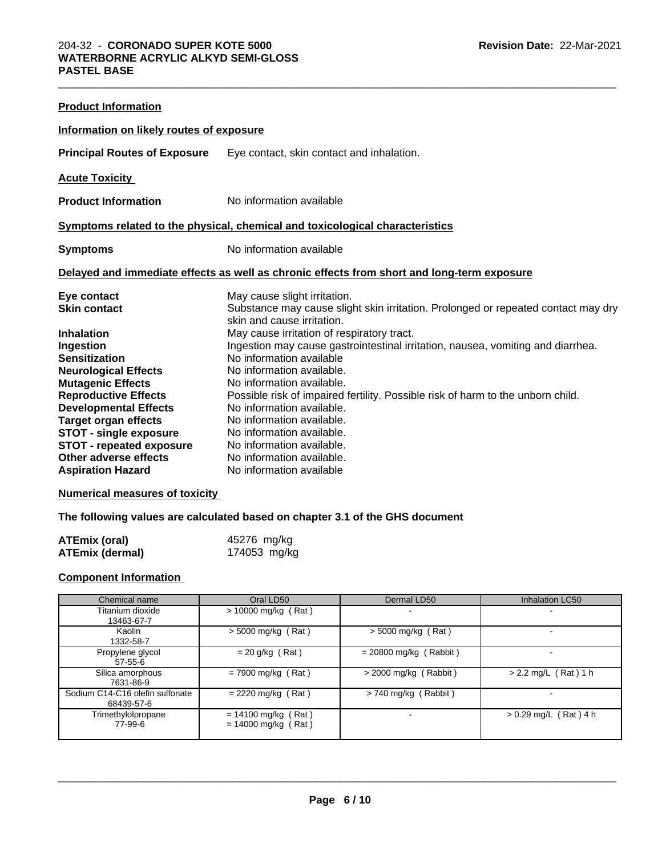| <b>Product Information</b>                               |                                                                                            |  |  |  |  |
|----------------------------------------------------------|--------------------------------------------------------------------------------------------|--|--|--|--|
| Information on likely routes of exposure                 |                                                                                            |  |  |  |  |
| <b>Principal Routes of Exposure</b>                      | Eye contact, skin contact and inhalation.                                                  |  |  |  |  |
| <b>Acute Toxicity</b>                                    |                                                                                            |  |  |  |  |
| <b>Product Information</b>                               | No information available                                                                   |  |  |  |  |
|                                                          | Symptoms related to the physical, chemical and toxicological characteristics               |  |  |  |  |
| <b>Symptoms</b>                                          | No information available                                                                   |  |  |  |  |
|                                                          | Delayed and immediate effects as well as chronic effects from short and long-term exposure |  |  |  |  |
| Eye contact                                              | May cause slight irritation.                                                               |  |  |  |  |
|                                                          |                                                                                            |  |  |  |  |
| <b>Skin contact</b>                                      | Substance may cause slight skin irritation. Prolonged or repeated contact may dry          |  |  |  |  |
|                                                          | skin and cause irritation.                                                                 |  |  |  |  |
| <b>Inhalation</b>                                        | May cause irritation of respiratory tract.                                                 |  |  |  |  |
| Ingestion                                                | Ingestion may cause gastrointestinal irritation, nausea, vomiting and diarrhea.            |  |  |  |  |
| <b>Sensitization</b>                                     | No information available                                                                   |  |  |  |  |
| <b>Neurological Effects</b>                              | No information available.                                                                  |  |  |  |  |
| <b>Mutagenic Effects</b>                                 | No information available.                                                                  |  |  |  |  |
| <b>Reproductive Effects</b>                              | Possible risk of impaired fertility. Possible risk of harm to the unborn child.            |  |  |  |  |
| <b>Developmental Effects</b>                             | No information available.                                                                  |  |  |  |  |
| <b>Target organ effects</b>                              | No information available.                                                                  |  |  |  |  |
| <b>STOT - single exposure</b>                            | No information available.<br>No information available.                                     |  |  |  |  |
| <b>STOT - repeated exposure</b><br>Other adverse effects | No information available.                                                                  |  |  |  |  |

 $\_$  ,  $\_$  ,  $\_$  ,  $\_$  ,  $\_$  ,  $\_$  ,  $\_$  ,  $\_$  ,  $\_$  ,  $\_$  ,  $\_$  ,  $\_$  ,  $\_$  ,  $\_$  ,  $\_$  ,  $\_$  ,  $\_$  ,  $\_$  ,  $\_$  ,  $\_$  ,  $\_$  ,  $\_$  ,  $\_$  ,  $\_$  ,  $\_$  ,  $\_$  ,  $\_$  ,  $\_$  ,  $\_$  ,  $\_$  ,  $\_$  ,  $\_$  ,  $\_$  ,  $\_$  ,  $\_$  ,  $\_$  ,  $\_$  ,

# **Numerical measures of toxicity**

# **The following values are calculated based on chapter 3.1 of the GHS document**

| <b>ATEmix (oral)</b>   | 45276 mg/kg  |
|------------------------|--------------|
| <b>ATEmix (dermal)</b> | 174053 mg/kg |

# **Component Information**

| Chemical name                                 | Oral LD50                                      | Dermal LD50              | Inhalation LC50          |
|-----------------------------------------------|------------------------------------------------|--------------------------|--------------------------|
| Titanium dioxide<br>13463-67-7                | $> 10000$ mg/kg (Rat)                          | $\sim$                   |                          |
| Kaolin<br>1332-58-7                           | $>$ 5000 mg/kg (Rat)                           | $>$ 5000 mg/kg (Rat)     |                          |
| Propylene glycol<br>$57-55-6$                 | $= 20$ g/kg (Rat)                              | $= 20800$ mg/kg (Rabbit) | $\overline{\phantom{a}}$ |
| Silica amorphous<br>7631-86-9                 | $= 7900$ mg/kg (Rat)                           | $>$ 2000 mg/kg (Rabbit)  | $> 2.2$ mg/L (Rat) 1 h   |
| Sodium C14-C16 olefin sulfonate<br>68439-57-6 | $= 2220$ mg/kg (Rat)                           | $> 740$ mg/kg (Rabbit)   |                          |
| Trimethylolpropane<br>77-99-6                 | $= 14100$ mg/kg (Rat)<br>$= 14000$ mg/kg (Rat) |                          | $> 0.29$ mg/L (Rat) 4 h  |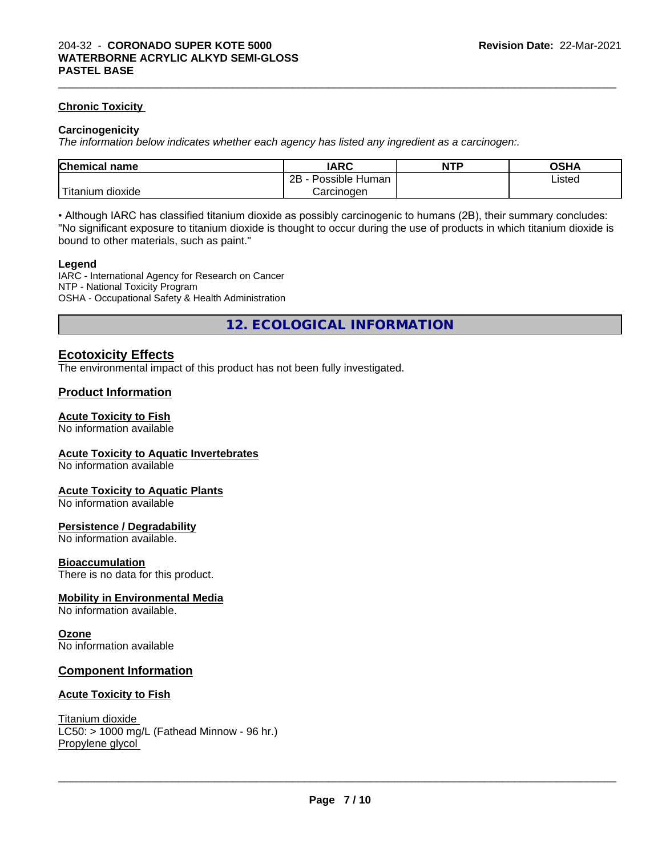# **Chronic Toxicity**

#### **Carcinogenicity**

*The information below indicateswhether each agency has listed any ingredient as a carcinogen:.*

| <b>Chemical</b><br>name | <b>IARC</b>                  | NTP | ດຂ⊔ ∧<br>יוחט |  |
|-------------------------|------------------------------|-----|---------------|--|
|                         | .<br>2B<br>Human<br>Possible |     | Listed<br>.   |  |
| .<br>dioxide<br>itanium | Carcinogen                   |     |               |  |

 $\_$  ,  $\_$  ,  $\_$  ,  $\_$  ,  $\_$  ,  $\_$  ,  $\_$  ,  $\_$  ,  $\_$  ,  $\_$  ,  $\_$  ,  $\_$  ,  $\_$  ,  $\_$  ,  $\_$  ,  $\_$  ,  $\_$  ,  $\_$  ,  $\_$  ,  $\_$  ,  $\_$  ,  $\_$  ,  $\_$  ,  $\_$  ,  $\_$  ,  $\_$  ,  $\_$  ,  $\_$  ,  $\_$  ,  $\_$  ,  $\_$  ,  $\_$  ,  $\_$  ,  $\_$  ,  $\_$  ,  $\_$  ,  $\_$  ,

• Although IARC has classified titanium dioxide as possibly carcinogenic to humans (2B), their summary concludes: "No significant exposure to titanium dioxide is thought to occur during the use of products in which titanium dioxide is bound to other materials, such as paint."

#### **Legend**

IARC - International Agency for Research on Cancer NTP - National Toxicity Program OSHA - Occupational Safety & Health Administration

**12. ECOLOGICAL INFORMATION**

# **Ecotoxicity Effects**

The environmental impact of this product has not been fully investigated.

# **Product Information**

#### **Acute Toxicity to Fish**

No information available

#### **Acute Toxicity to Aquatic Invertebrates**

No information available

#### **Acute Toxicity to Aquatic Plants**

No information available

#### **Persistence / Degradability**

No information available.

#### **Bioaccumulation**

There is no data for this product.

#### **Mobility in Environmental Media**

No information available.

#### **Ozone**

No information available

# **Component Information**

#### **Acute Toxicity to Fish**

Titanium dioxide  $LC50:$  > 1000 mg/L (Fathead Minnow - 96 hr.) Propylene glycol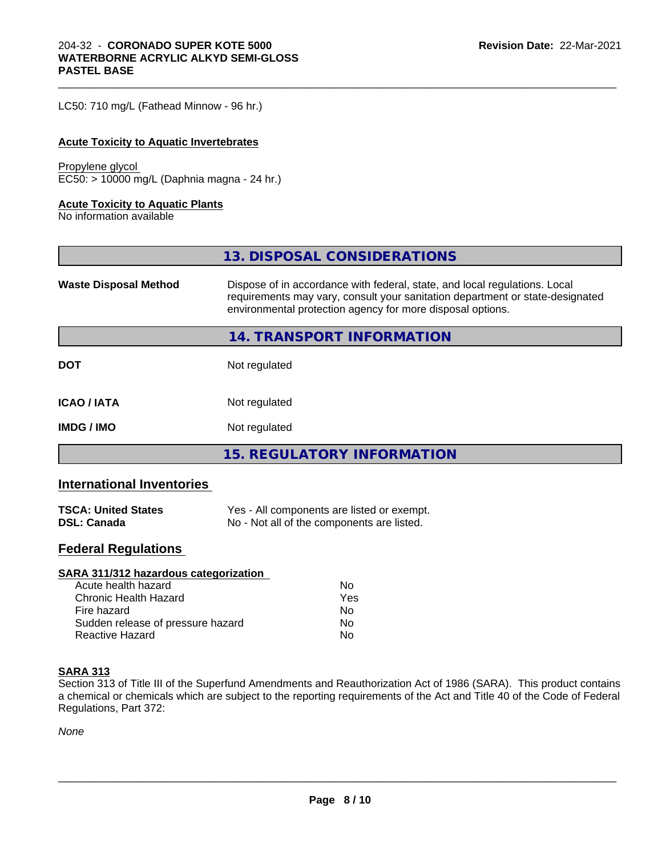LC50: 710 mg/L (Fathead Minnow - 96 hr.)

#### **Acute Toxicity to Aquatic Invertebrates**

#### Propylene glycol

EC50: > 10000 mg/L (Daphnia magna - 24 hr.)

#### **Acute Toxicity to Aquatic Plants**

No information available

|                              | 13. DISPOSAL CONSIDERATIONS                                                                                                                                                                                               |
|------------------------------|---------------------------------------------------------------------------------------------------------------------------------------------------------------------------------------------------------------------------|
| <b>Waste Disposal Method</b> | Dispose of in accordance with federal, state, and local regulations. Local<br>requirements may vary, consult your sanitation department or state-designated<br>environmental protection agency for more disposal options. |
|                              | 14. TRANSPORT INFORMATION                                                                                                                                                                                                 |
| <b>DOT</b>                   | Not regulated                                                                                                                                                                                                             |
| <b>ICAO/IATA</b>             | Not regulated                                                                                                                                                                                                             |
| <b>IMDG/IMO</b>              | Not regulated                                                                                                                                                                                                             |
|                              | 15. REGULATORY INFORMATION                                                                                                                                                                                                |

 $\_$  ,  $\_$  ,  $\_$  ,  $\_$  ,  $\_$  ,  $\_$  ,  $\_$  ,  $\_$  ,  $\_$  ,  $\_$  ,  $\_$  ,  $\_$  ,  $\_$  ,  $\_$  ,  $\_$  ,  $\_$  ,  $\_$  ,  $\_$  ,  $\_$  ,  $\_$  ,  $\_$  ,  $\_$  ,  $\_$  ,  $\_$  ,  $\_$  ,  $\_$  ,  $\_$  ,  $\_$  ,  $\_$  ,  $\_$  ,  $\_$  ,  $\_$  ,  $\_$  ,  $\_$  ,  $\_$  ,  $\_$  ,  $\_$  ,

# **International Inventories**

| <b>TSCA: United States</b> | Yes - All components are listed or exempt. |
|----------------------------|--------------------------------------------|
| <b>DSL: Canada</b>         | No - Not all of the components are listed. |

# **Federal Regulations**

| SARA 311/312 hazardous categorization |     |  |
|---------------------------------------|-----|--|
| Acute health hazard                   | Nο  |  |
| Chronic Health Hazard                 | Yes |  |
| Fire hazard                           | Nο  |  |
| Sudden release of pressure hazard     | No  |  |
| <b>Reactive Hazard</b>                | Nο  |  |

# **SARA 313**

Section 313 of Title III of the Superfund Amendments and Reauthorization Act of 1986 (SARA). This product contains a chemical or chemicals which are subject to the reporting requirements of the Act and Title 40 of the Code of Federal Regulations, Part 372:

*None*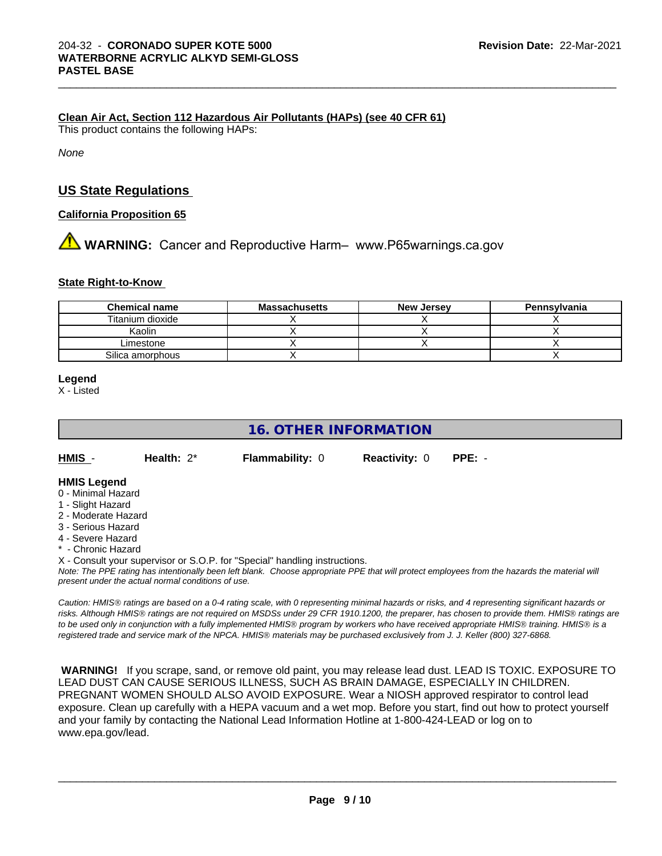# **Clean Air Act,Section 112 Hazardous Air Pollutants (HAPs) (see 40 CFR 61)**

This product contains the following HAPs:

*None*

# **US State Regulations**

# **California Proposition 65**

# **WARNING:** Cancer and Reproductive Harm– www.P65warnings.ca.gov

# **State Right-to-Know**

| <b>Chemical name</b> | <b>Massachusetts</b> | <b>New Jersey</b> | Pennsylvania |
|----------------------|----------------------|-------------------|--------------|
| Titanium dioxide     |                      |                   |              |
| Kaolin               |                      |                   |              |
| Limestone            |                      |                   |              |
| Silica amorphous     |                      |                   |              |

#### **Legend**

X - Listed

# **16. OTHER INFORMATION**

**HMIS** - **Health:** 2\* **Flammability:** 0 **Reactivity:** 0 **PPE:** -

 $\_$  ,  $\_$  ,  $\_$  ,  $\_$  ,  $\_$  ,  $\_$  ,  $\_$  ,  $\_$  ,  $\_$  ,  $\_$  ,  $\_$  ,  $\_$  ,  $\_$  ,  $\_$  ,  $\_$  ,  $\_$  ,  $\_$  ,  $\_$  ,  $\_$  ,  $\_$  ,  $\_$  ,  $\_$  ,  $\_$  ,  $\_$  ,  $\_$  ,  $\_$  ,  $\_$  ,  $\_$  ,  $\_$  ,  $\_$  ,  $\_$  ,  $\_$  ,  $\_$  ,  $\_$  ,  $\_$  ,  $\_$  ,  $\_$  ,

# **HMIS Legend**

- 0 Minimal Hazard
- 1 Slight Hazard
- 2 Moderate Hazard
- 3 Serious Hazard
- 4 Severe Hazard
- \* Chronic Hazard
- X Consult your supervisor or S.O.P. for "Special" handling instructions.

*Note: The PPE rating has intentionally been left blank. Choose appropriate PPE that will protect employees from the hazards the material will present under the actual normal conditions of use.*

*Caution: HMISÒ ratings are based on a 0-4 rating scale, with 0 representing minimal hazards or risks, and 4 representing significant hazards or risks. Although HMISÒ ratings are not required on MSDSs under 29 CFR 1910.1200, the preparer, has chosen to provide them. HMISÒ ratings are to be used only in conjunction with a fully implemented HMISÒ program by workers who have received appropriate HMISÒ training. HMISÒ is a registered trade and service mark of the NPCA. HMISÒ materials may be purchased exclusively from J. J. Keller (800) 327-6868.*

 **WARNING!** If you scrape, sand, or remove old paint, you may release lead dust. LEAD IS TOXIC. EXPOSURE TO LEAD DUST CAN CAUSE SERIOUS ILLNESS, SUCH AS BRAIN DAMAGE, ESPECIALLY IN CHILDREN. PREGNANT WOMEN SHOULD ALSO AVOID EXPOSURE.Wear a NIOSH approved respirator to control lead exposure. Clean up carefully with a HEPA vacuum and a wet mop. Before you start, find out how to protect yourself and your family by contacting the National Lead Information Hotline at 1-800-424-LEAD or log on to www.epa.gov/lead.